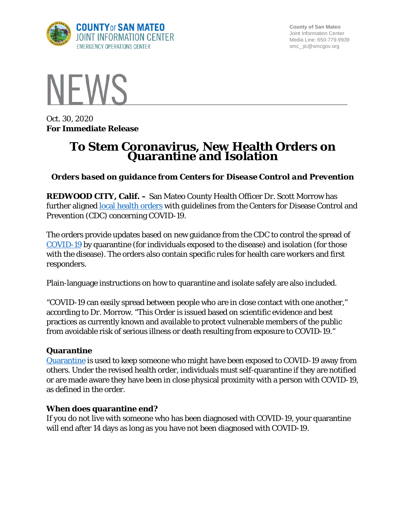

**County of San Mateo** Joint Information Center Media Line: 650-779-9939 smc\_ jic@smcgov.org



Oct. 30, 2020 **For Immediate Release**

# **To Stem Coronavirus, New Health Orders on Quarantine and Isolation**

*Orders based on guidance from Centers for Disease Control and Prevention*

**REDWOOD CITY, Calif. –** San Mateo County Health Officer Dr. Scott Morrow has further aligned [local health](https://www.smchealth.org/health-officer-updates/orders-health-officer-quarantine-isolation) orders with guidelines from the Centers for Disease Control and Prevention (CDC) concerning COVID-19.

The orders provide updates based on new guidance from the CDC to control the spread of [COVID-19](https://www.cdc.gov/coronavirus/2019-ncov/index.html) by quarantine (for individuals exposed to the disease) and isolation (for those with the disease). The orders also contain specific rules for health care workers and first responders.

Plain-language instructions on how to quarantine and isolate safely are also included.

"COVID-19 can easily spread between people who are in close contact with one another," according to Dr. Morrow. "This Order is issued based on scientific evidence and best practices as currently known and available to protect vulnerable members of the public from avoidable risk of serious illness or death resulting from exposure to COVID-19."

#### **Quarantine**

[Quarantine](https://www.smchealth.org/sites/main/files/file-attachments/ho_order_c19-7c_appendix_a_home_quarantine_instructions_20201029.pdf?1604082951) is used to keep someone who might have been exposed to COVID-19 away from others. Under the revised health order, individuals must self-quarantine if they are notified or are made aware they have been in close physical proximity with a person with COVID-19, as defined in the order.

#### **When does quarantine end?**

If you do not live with someone who has been diagnosed with COVID-19, your quarantine will end after 14 days as long as you have not been diagnosed with COVID-19.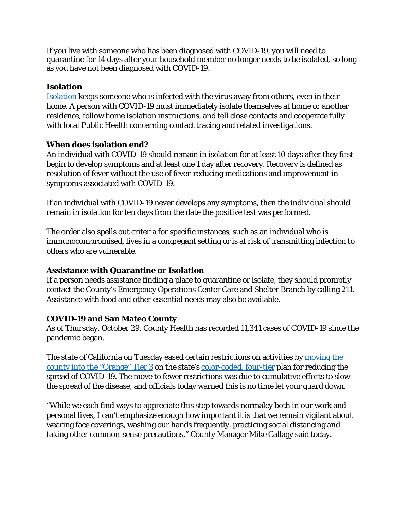If you live with someone who has been diagnosed with COVID-19, you will need to quarantine for 14 days after your household member no longer needs to be isolated, so long as you have not been diagnosed with COVID-19.

## **Isolation**

[Isolation](https://www.smchealth.org/sites/main/files/file-attachments/ho_order_c19-6c_appendix_b_home_isolation_instructions_20201029.pdf?1604082790) keeps someone who is infected with the virus away from others, even in their home. A person with COVID-19 must immediately isolate themselves at home or another residence, follow home isolation instructions, and tell close contacts and cooperate fully with local Public Health concerning contact tracing and related investigations.

### **When does isolation end?**

An individual with COVID-19 should remain in isolation for at least 10 days after they first begin to develop symptoms and at least one 1 day after recovery. Recovery is defined as resolution of fever without the use of fever-reducing medications and improvement in symptoms associated with COVID-19.

If an individual with COVID-19 never develops any symptoms, then the individual should remain in isolation for ten days from the date the positive test was performed.

The order also spells out criteria for specific instances, such as an individual who is immunocompromised, lives in a congregant setting or is at risk of transmitting infection to others who are vulnerable.

#### **Assistance with Quarantine or Isolation**

If a person needs assistance finding a place to quarantine or isolate, they should promptly contact the County's Emergency Operations Center Care and Shelter Branch by calling 211. Assistance with food and other essential needs may also be available.

# **COVID-19 and San Mateo County**

As of Thursday, October 29, County Health has recorded 11,341 cases of COVID-19 since the pandemic began.

The state of California on Tuesday eased certain restrictions on activities by moving the [county into the "Orange" Tier 3](https://www.smcgov.org/press-release/covid-19-update-state-moves-san-mateo-county-orange-tier) on the state's [color-coded, four-tier](https://covid19.ca.gov/safer-economy/) plan for reducing the spread of COVID-19. The move to fewer restrictions was due to cumulative efforts to slow the spread of the disease, and officials today warned this is no time let your guard down.

"While we each find ways to appreciate this step towards normalcy both in our work and personal lives, I can't emphasize enough how important it is that we remain vigilant about wearing face coverings, washing our hands frequently, practicing social distancing and taking other common-sense precautions," County Manager Mike Callagy said today.